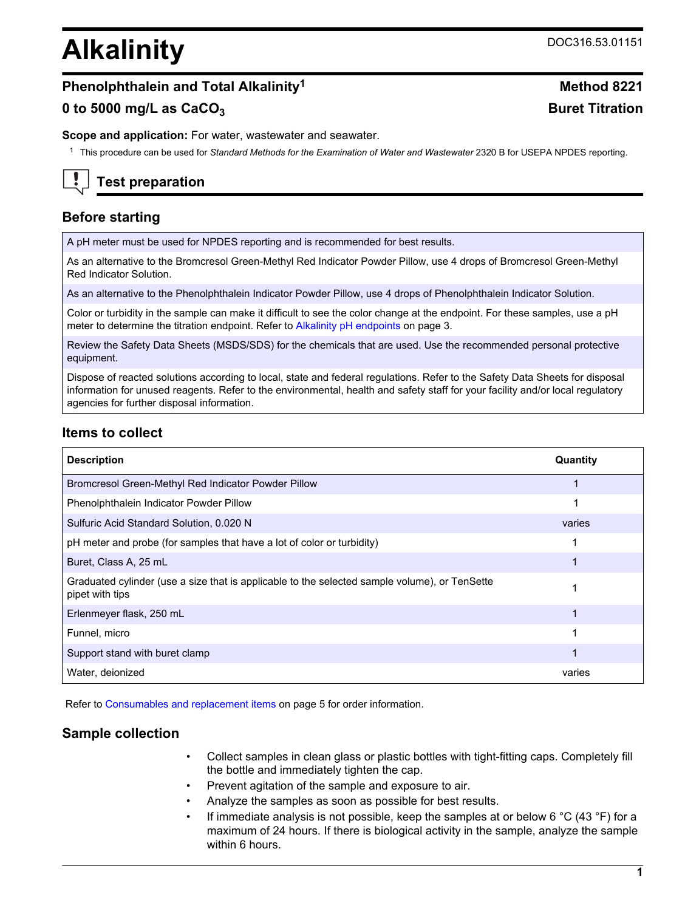# **Alkalinity** DOC316.53.01151

# **Phenolphthalein and Total Alkalinity<sup>1</sup> <b>Method 8221**

# **0 to 5000 mg/L as CaCO<sub>3</sub> <b>Buret Titration**

**Scope and application:** For water, wastewater and seawater.

<sup>1</sup> This procedure can be used for *Standard Methods for the Examination of Water and Wastewater* 2320 B for USEPA NPDES reporting.



# **Test preparation**

# **Before starting**

A pH meter must be used for NPDES reporting and is recommended for best results.

As an alternative to the Bromcresol Green-Methyl Red Indicator Powder Pillow, use 4 drops of Bromcresol Green-Methyl Red Indicator Solution.

As an alternative to the Phenolphthalein Indicator Powder Pillow, use 4 drops of Phenolphthalein Indicator Solution.

Color or turbidity in the sample can make it difficult to see the color change at the endpoint. For these samples, use a pH meter to determine the titration endpoint. Refer to [Alkalinity pH endpoints](#page-2-0) on page 3.

Review the Safety Data Sheets (MSDS/SDS) for the chemicals that are used. Use the recommended personal protective equipment.

Dispose of reacted solutions according to local, state and federal regulations. Refer to the Safety Data Sheets for disposal information for unused reagents. Refer to the environmental, health and safety staff for your facility and/or local regulatory agencies for further disposal information.

# **Items to collect**

| <b>Description</b>                                                                                               | Quantity |
|------------------------------------------------------------------------------------------------------------------|----------|
| Bromcresol Green-Methyl Red Indicator Powder Pillow                                                              |          |
| Phenolphthalein Indicator Powder Pillow                                                                          |          |
| Sulfuric Acid Standard Solution, 0.020 N                                                                         | varies   |
| pH meter and probe (for samples that have a lot of color or turbidity)                                           |          |
| Buret, Class A, 25 mL                                                                                            |          |
| Graduated cylinder (use a size that is applicable to the selected sample volume), or TenSette<br>pipet with tips |          |
| Erlenmeyer flask, 250 mL                                                                                         |          |
| Funnel, micro                                                                                                    |          |
| Support stand with buret clamp                                                                                   |          |
| Water, deionized                                                                                                 | varies   |

Refer to [Consumables and replacement items](#page-4-0) on page 5 for order information.

# **Sample collection**

- Collect samples in clean glass or plastic bottles with tight-fitting caps. Completely fill the bottle and immediately tighten the cap.
- Prevent agitation of the sample and exposure to air.
- Analyze the samples as soon as possible for best results.
- If immediate analysis is not possible, keep the samples at or below 6  $\degree$ C (43  $\degree$ F) for a maximum of 24 hours. If there is biological activity in the sample, analyze the sample within 6 hours.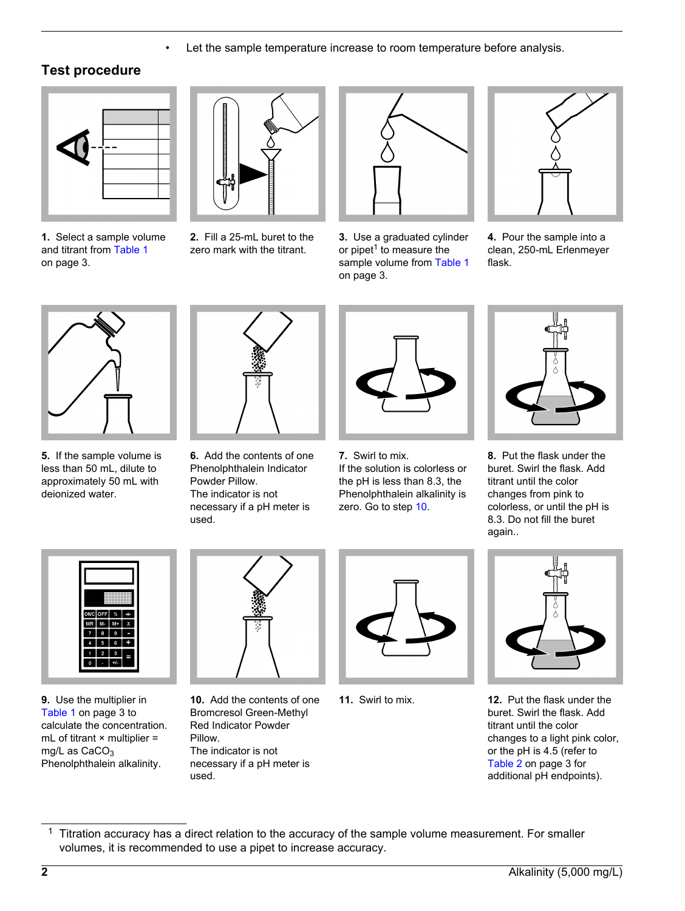• Let the sample temperature increase to room temperature before analysis.

# **Test procedure**

<span id="page-1-0"></span>

**1.** Select a sample volume and titrant from [Table 1](#page-2-1) on page 3.



**2.** Fill a 25-mL buret to the zero mark with the titrant.



**3.** Use a graduated cylinder or pipet<sup>1</sup> to measure the sample volume from [Table 1](#page-2-1) on page 3.



**4.** Pour the sample into a clean, 250-mL Erlenmeyer flask.



**5.** If the sample volume is less than 50 mL, dilute to approximately 50 mL with deionized water.



**6.** Add the contents of one Phenolphthalein Indicator Powder Pillow. The indicator is not necessary if a pH meter is used.



**7.** Swirl to mix. If the solution is colorless or the pH is less than 8.3, the Phenolphthalein alkalinity is zero. Go to step [10](#page-1-0).



**8.** Put the flask under the buret. Swirl the flask. Add titrant until the color changes from pink to colorless, or until the pH is 8.3. Do not fill the buret again..



**9.** Use the multiplier in [Table 1](#page-2-1) on page 3 to calculate the concentration. mL of titrant  $\times$  multiplier = mg/L as  $CaCO<sub>3</sub>$ Phenolphthalein alkalinity.



**10.** Add the contents of one Bromcresol Green-Methyl Red Indicator Powder Pillow. The indicator is not necessary if a pH meter is used.





**11.** Swirl to mix. **12.** Put the flask under the buret. Swirl the flask. Add titrant until the color changes to a light pink color, or the pH is 4.5 (refer to [Table 2](#page-2-2) on page 3 for additional pH endpoints).

 $1$  Titration accuracy has a direct relation to the accuracy of the sample volume measurement. For smaller volumes, it is recommended to use a pipet to increase accuracy.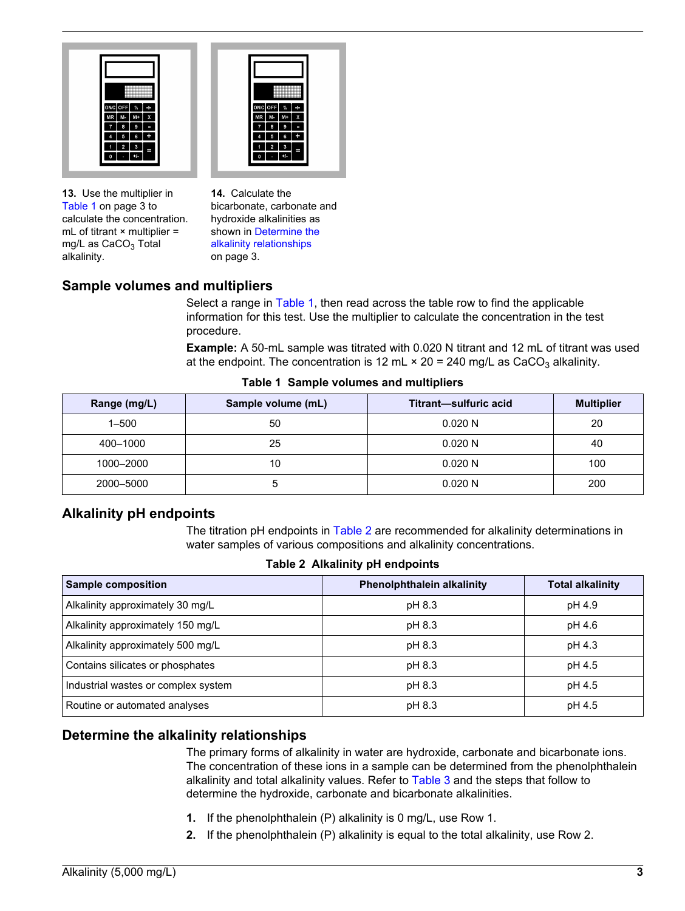



**13.** Use the multiplier in [Table 1](#page-2-1) on page 3 to calculate the concentration. mL of titrant  $\times$  multiplier = mg/L as  $CaCO<sub>3</sub>$  Total alkalinity.

**14.** Calculate the bicarbonate, carbonate and hydroxide alkalinities as shown in [Determine the](#page-2-3) [alkalinity relationships](#page-2-3) on page 3.

# **Sample volumes and multipliers**

Select a range in [Table 1](#page-2-1), then read across the table row to find the applicable information for this test. Use the multiplier to calculate the concentration in the test procedure.

**Example:** A 50-mL sample was titrated with 0.020 N titrant and 12 mL of titrant was used at the endpoint. The concentration is 12 mL  $\times$  20 = 240 mg/L as CaCO<sub>3</sub> alkalinity.

<span id="page-2-1"></span>

| Range (mg/L) | Sample volume (mL) | Titrant-sulfuric acid | <b>Multiplier</b> |
|--------------|--------------------|-----------------------|-------------------|
| $1 - 500$    | 50                 | 0.020 N               | 20                |
| 400-1000     | 25                 | 0.020 N               | 40                |
| 1000-2000    | 10                 | 0.020 N               | 100               |
| 2000-5000    |                    | 0.020N                | 200               |

#### **Table 1 Sample volumes and multipliers**

#### **Alkalinity pH endpoints**

The titration pH endpoints in [Table 2](#page-2-2) are recommended for alkalinity determinations in water samples of various compositions and alkalinity concentrations.

**Table 2 Alkalinity pH endpoints**

<span id="page-2-3"></span><span id="page-2-2"></span><span id="page-2-0"></span>

| <b>Sample composition</b>           | <b>Phenolphthalein alkalinity</b> | <b>Total alkalinity</b> |
|-------------------------------------|-----------------------------------|-------------------------|
| Alkalinity approximately 30 mg/L    | pH 8.3                            | pH 4.9                  |
| Alkalinity approximately 150 mg/L   | pH 8.3                            | pH 4.6                  |
| Alkalinity approximately 500 mg/L   | pH 8.3                            | pH 4.3                  |
| Contains silicates or phosphates    | pH 8.3                            | pH 4.5                  |
| Industrial wastes or complex system | pH 8.3                            | pH 4.5                  |
| Routine or automated analyses       | pH 8.3                            | pH 4.5                  |

# **Determine the alkalinity relationships**

The primary forms of alkalinity in water are hydroxide, carbonate and bicarbonate ions. The concentration of these ions in a sample can be determined from the phenolphthalein alkalinity and total alkalinity values. Refer to [Table 3](#page-3-0) and the steps that follow to determine the hydroxide, carbonate and bicarbonate alkalinities.

- **1.** If the phenolphthalein (P) alkalinity is 0 mg/L, use Row 1.
- **2.** If the phenolphthalein (P) alkalinity is equal to the total alkalinity, use Row 2.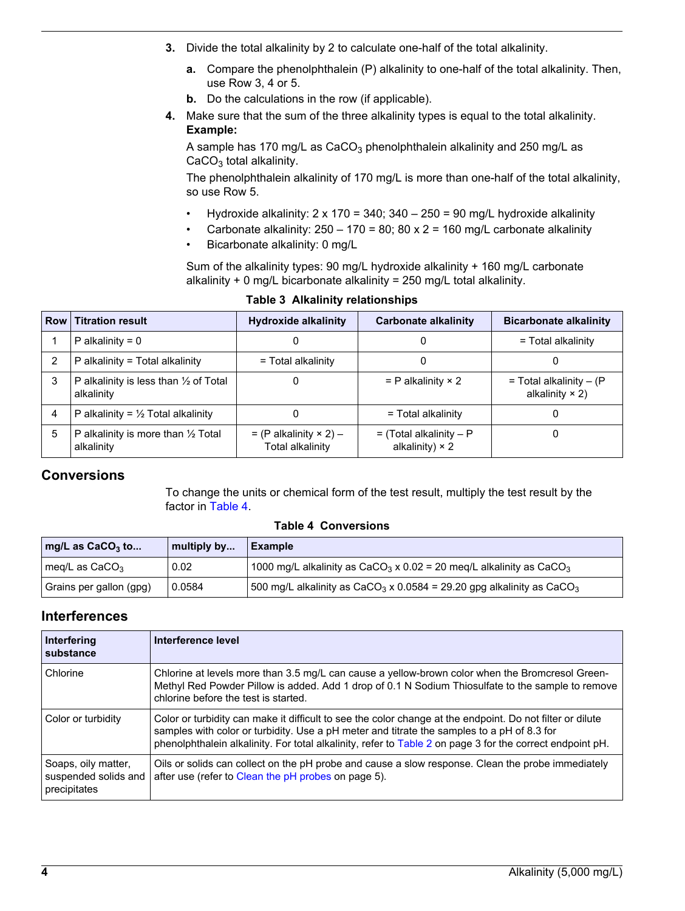- **3.** Divide the total alkalinity by 2 to calculate one-half of the total alkalinity.
	- **a.** Compare the phenolphthalein (P) alkalinity to one-half of the total alkalinity. Then, use Row 3, 4 or 5.
	- **b.** Do the calculations in the row (if applicable).
- **4.** Make sure that the sum of the three alkalinity types is equal to the total alkalinity. **Example:**

A sample has 170 mg/L as  $CaCO<sub>3</sub>$  phenolphthalein alkalinity and 250 mg/L as  $CaCO<sub>3</sub>$  total alkalinity.

The phenolphthalein alkalinity of 170 mg/L is more than one-half of the total alkalinity, so use Row 5.

- Hydroxide alkalinity:  $2 \times 170 = 340$ ;  $340 250 = 90$  mg/L hydroxide alkalinity
- Carbonate alkalinity:  $250 170 = 80$ ;  $80 \times 2 = 160$  mg/L carbonate alkalinity
- Bicarbonate alkalinity: 0 mg/L

Sum of the alkalinity types: 90 mg/L hydroxide alkalinity + 160 mg/L carbonate alkalinity + 0 mg/L bicarbonate alkalinity = 250 mg/L total alkalinity.

<span id="page-3-0"></span>

| <b>Row</b> | <b>Titration result</b>                                     | <b>Hydroxide alkalinity</b>                         | <b>Carbonate alkalinity</b>                         | <b>Bicarbonate alkalinity</b>                         |
|------------|-------------------------------------------------------------|-----------------------------------------------------|-----------------------------------------------------|-------------------------------------------------------|
|            | P alkalinity = $0$                                          | O                                                   |                                                     | = Total alkalinity                                    |
|            | P alkalinity = Total alkalinity                             | = Total alkalinity                                  |                                                     |                                                       |
| 3          | P alkalinity is less than 1/2 of Total<br>alkalinity        |                                                     | $=$ P alkalinity $\times$ 2                         | $=$ Total alkalinity $-$ (P<br>alkalinity $\times$ 2) |
| 4          | P alkalinity = $\frac{1}{2}$ Total alkalinity               | 0                                                   | = Total alkalinity                                  |                                                       |
| 5          | P alkalinity is more than $\frac{1}{2}$ Total<br>alkalinity | $= (P$ alkalinity $\times$ 2) –<br>Total alkalinity | $=$ (Total alkalinity – P<br>alkalinity) $\times$ 2 |                                                       |

#### **Table 3 Alkalinity relationships**

# <span id="page-3-1"></span>**Conversions**

To change the units or chemical form of the test result, multiply the test result by the factor in [Table 4.](#page-3-1)

#### **Table 4 Conversions**

| $\vert$ mg/L as CaCO <sub>3</sub> to | multiply by | Example                                                                                       |
|--------------------------------------|-------------|-----------------------------------------------------------------------------------------------|
| I meg/L as CaCO <sub>3</sub>         | 0.02        | 1000 mg/L alkalinity as CaCO <sub>3</sub> x 0.02 = 20 meq/L alkalinity as CaCO <sub>3</sub>   |
| Grains per gallon (gpg)              | 0.0584      | 500 mg/L alkalinity as CaCO <sub>3</sub> x 0.0584 = 29.20 gpg alkalinity as CaCO <sub>3</sub> |

#### **Interferences**

| Interfering<br>substance                                    | Interference level                                                                                                                                                                                                                                                                                                   |
|-------------------------------------------------------------|----------------------------------------------------------------------------------------------------------------------------------------------------------------------------------------------------------------------------------------------------------------------------------------------------------------------|
| Chlorine                                                    | Chlorine at levels more than 3.5 mg/L can cause a yellow-brown color when the Bromcresol Green-<br>Methyl Red Powder Pillow is added. Add 1 drop of 0.1 N Sodium Thiosulfate to the sample to remove<br>chlorine before the test is started.                                                                         |
| Color or turbidity                                          | Color or turbidity can make it difficult to see the color change at the endpoint. Do not filter or dilute<br>samples with color or turbidity. Use a pH meter and titrate the samples to a pH of 8.3 for<br>phenolphthalein alkalinity. For total alkalinity, refer to Table 2 on page 3 for the correct endpoint pH. |
| Soaps, oily matter,<br>suspended solids and<br>precipitates | Oils or solids can collect on the pH probe and cause a slow response. Clean the probe immediately<br>after use (refer to Clean the pH probes on page 5).                                                                                                                                                             |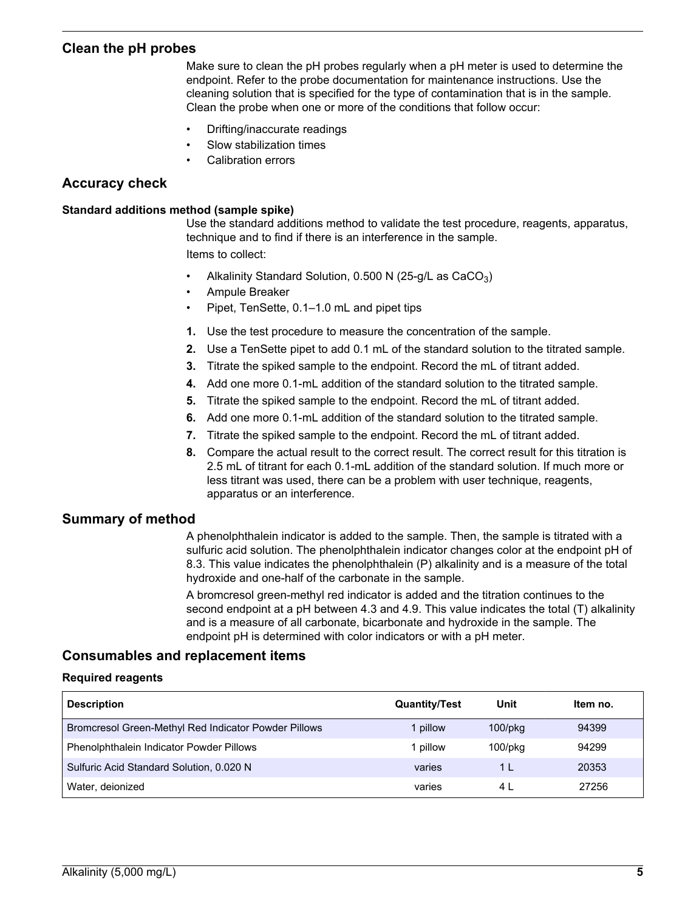#### <span id="page-4-1"></span>**Clean the pH probes**

Make sure to clean the pH probes regularly when a pH meter is used to determine the endpoint. Refer to the probe documentation for maintenance instructions. Use the cleaning solution that is specified for the type of contamination that is in the sample. Clean the probe when one or more of the conditions that follow occur:

- Drifting/inaccurate readings
- Slow stabilization times
- Calibration errors

#### **Accuracy check**

#### **Standard additions method (sample spike)**

Use the standard additions method to validate the test procedure, reagents, apparatus, technique and to find if there is an interference in the sample. Items to collect:

- Alkalinity Standard Solution,  $0.500$  N (25-g/L as CaCO<sub>3</sub>)
- Ampule Breaker
- Pipet, TenSette, 0.1–1.0 mL and pipet tips
- **1.** Use the test procedure to measure the concentration of the sample.
- **2.** Use a TenSette pipet to add 0.1 mL of the standard solution to the titrated sample.
- **3.** Titrate the spiked sample to the endpoint. Record the mL of titrant added.
- **4.** Add one more 0.1-mL addition of the standard solution to the titrated sample.
- **5.** Titrate the spiked sample to the endpoint. Record the mL of titrant added.
- **6.** Add one more 0.1-mL addition of the standard solution to the titrated sample.
- **7.** Titrate the spiked sample to the endpoint. Record the mL of titrant added.
- **8.** Compare the actual result to the correct result. The correct result for this titration is 2.5 mL of titrant for each 0.1-mL addition of the standard solution. If much more or less titrant was used, there can be a problem with user technique, reagents, apparatus or an interference.

#### **Summary of method**

A phenolphthalein indicator is added to the sample. Then, the sample is titrated with a sulfuric acid solution. The phenolphthalein indicator changes color at the endpoint pH of 8.3. This value indicates the phenolphthalein (P) alkalinity and is a measure of the total hydroxide and one-half of the carbonate in the sample.

A bromcresol green-methyl red indicator is added and the titration continues to the second endpoint at a pH between 4.3 and 4.9. This value indicates the total (T) alkalinity and is a measure of all carbonate, bicarbonate and hydroxide in the sample. The endpoint pH is determined with color indicators or with a pH meter.

#### <span id="page-4-0"></span>**Consumables and replacement items**

#### **Required reagents**

| <b>Description</b>                                   | <b>Quantity/Test</b> | Unit          | Item no. |
|------------------------------------------------------|----------------------|---------------|----------|
| Bromcresol Green-Methyl Red Indicator Powder Pillows | 1 pillow             | $100$ /p $kg$ | 94399    |
| Phenolphthalein Indicator Powder Pillows             | i pillow             | $100$ /p $kg$ | 94299    |
| Sulfuric Acid Standard Solution, 0.020 N             | varies               | 1 I           | 20353    |
| Water, deionized                                     | varies               | 4 L           | 27256    |